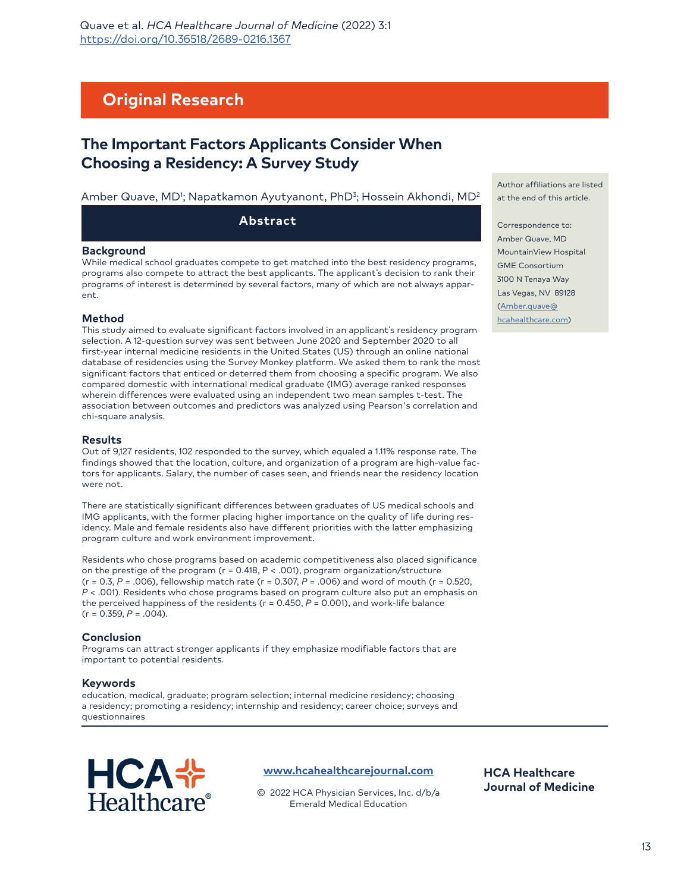# **Original Research**

# **The Important Factors Applicants Consider When Choosing a Residency: A Survey Study**

#### Amber Quave, MD'; Napatkamon Ayutyanont, PhD<sup>3</sup>; Hossein Akhondi, MD<sup>2</sup>

**Abstract**

#### **Background**

While medical school graduates compete to get matched into the best residency programs, programs also compete to attract the best applicants. The applicant's decision to rank their programs of interest is determined by several factors, many of which are not always apparent.

#### **Method**

This study aimed to evaluate significant factors involved in an applicant's residency program selection. A 12-question survey was sent between June 2020 and September 2020 to all first-year internal medicine residents in the United States (US) through an online national database of residencies using the Survey Monkey platform. We asked them to rank the most significant factors that enticed or deterred them from choosing a specific program. We also compared domestic with international medical graduate (IMG) average ranked responses wherein differences were evaluated using an independent two mean samples t-test. The association between outcomes and predictors was analyzed using Pearson's correlation and chi-square analysis.

#### **Results**

Out of 9,127 residents, 102 responded to the survey, which equaled a 1.11% response rate. The findings showed that the location, culture, and organization of a program are high-value factors for applicants. Salary, the number of cases seen, and friends near the residency location were not.

There are statistically significant differences between graduates of US medical schools and IMG applicants, with the former placing higher importance on the quality of life during residency. Male and female residents also have different priorities with the latter emphasizing program culture and work environment improvement.

Residents who chose programs based on academic competitiveness also placed significance on the prestige of the program (r = 0.418, P < .001), program organization/structure (r = 0.3, *P* = .006), fellowship match rate (r = 0.307, *P* = .006) and word of mouth (r = 0.520, *P* < .001). Residents who chose programs based on program culture also put an emphasis on the perceived happiness of the residents (r = 0.450, *P* = 0.001), and work-life balance (r = 0.359, *P* = .004).

#### **Conclusion**

Programs can attract stronger applicants if they emphasize modifiable factors that are important to potential residents.

#### **Keywords**

education, medical, graduate; program selection; internal medicine residency; choosing a residency; promoting a residency; internship and residency; career choice; surveys and questionnaires



**[www.hcahealthcarejournal.com](http://www.hcahealthcarejournal.com)**

© 2022 HCA Physician Services, Inc. d/b/a Emerald Medical Education

Author affiliations are listed at the end of this article.

Correspondence to: Amber Quave, MD MountainView Hospital GME Consortium 3100 N Tenaya Way [Las Vegas, NV 8](mailto:Amber.quave%40hcahealthcare.com?subject=)9128 [\(Amber.quave@](mailto:Amber.quave%40hcahealthcare.com?subject=) hcahealthcare.com)

**HCA Healthcare Journal of Medicine**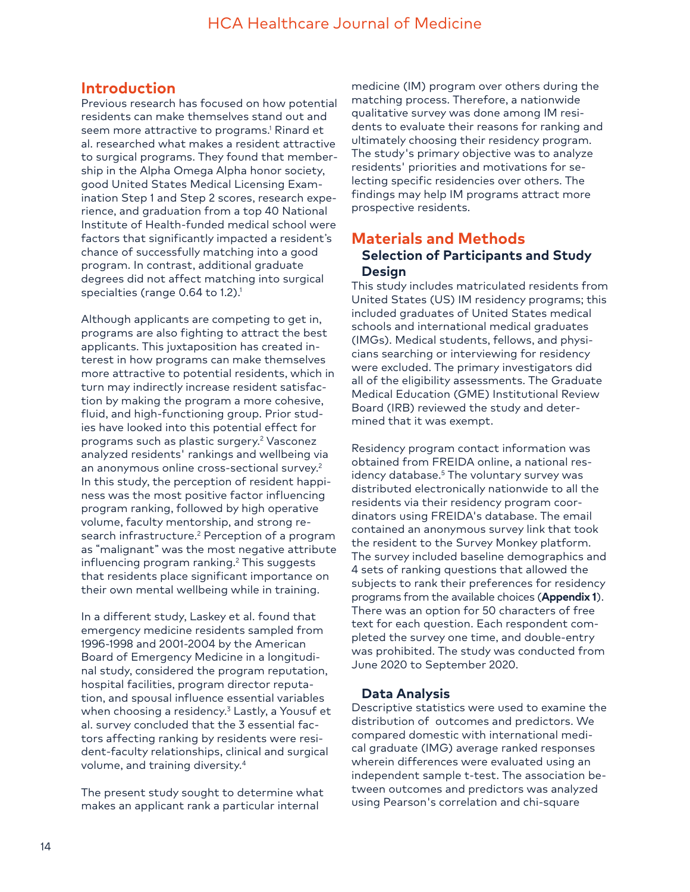# **Introduction**

Previous research has focused on how potential residents can make themselves stand out and seem more attractive to programs.<sup>1</sup> Rinard et al. researched what makes a resident attractive to surgical programs. They found that membership in the Alpha Omega Alpha honor society, good United States Medical Licensing Examination Step 1 and Step 2 scores, research experience, and graduation from a top 40 National Institute of Health-funded medical school were factors that significantly impacted a resident's chance of successfully matching into a good program. In contrast, additional graduate degrees did not affect matching into surgical specialties (range 0.64 to 1.2).<sup>1</sup>

Although applicants are competing to get in, programs are also fighting to attract the best applicants. This juxtaposition has created interest in how programs can make themselves more attractive to potential residents, which in turn may indirectly increase resident satisfaction by making the program a more cohesive, fluid, and high-functioning group. Prior studies have looked into this potential effect for programs such as plastic surgery.2 Vasconez analyzed residents' rankings and wellbeing via an anonymous online cross-sectional survey.2 In this study, the perception of resident happiness was the most positive factor influencing program ranking, followed by high operative volume, faculty mentorship, and strong research infrastructure.<sup>2</sup> Perception of a program as "malignant" was the most negative attribute influencing program ranking.2 This suggests that residents place significant importance on their own mental wellbeing while in training.

In a different study, Laskey et al. found that emergency medicine residents sampled from 1996-1998 and 2001-2004 by the American Board of Emergency Medicine in a longitudinal study, considered the program reputation, hospital facilities, program director reputation, and spousal influence essential variables when choosing a residency.3 Lastly, a Yousuf et al. survey concluded that the 3 essential factors affecting ranking by residents were resident-faculty relationships, clinical and surgical volume, and training diversity.4

The present study sought to determine what makes an applicant rank a particular internal

medicine (IM) program over others during the matching process. Therefore, a nationwide qualitative survey was done among IM residents to evaluate their reasons for ranking and ultimately choosing their residency program. The study's primary objective was to analyze residents' priorities and motivations for selecting specific residencies over others. The findings may help IM programs attract more prospective residents.

## **Materials and Methods Selection of Participants and Study Design**

This study includes matriculated residents from United States (US) IM residency programs; this included graduates of United States medical schools and international medical graduates (IMGs). Medical students, fellows, and physicians searching or interviewing for residency were excluded. The primary investigators did all of the eligibility assessments. The Graduate Medical Education (GME) Institutional Review Board (IRB) reviewed the study and determined that it was exempt.

Residency program contact information was obtained from FREIDA online, a national residency database.5 The voluntary survey was distributed electronically nationwide to all the residents via their residency program coordinators using FREIDA's database. The email contained an anonymous survey link that took the resident to the Survey Monkey platform. The survey included baseline demographics and 4 sets of ranking questions that allowed the subjects to rank their preferences for residency programs from the available choices (**Appendix 1**). There was an option for 50 characters of free text for each question. Each respondent completed the survey one time, and double-entry was prohibited. The study was conducted from June 2020 to September 2020.

## **Data Analysis**

Descriptive statistics were used to examine the distribution of outcomes and predictors. We compared domestic with international medical graduate (IMG) average ranked responses wherein differences were evaluated using an independent sample t-test. The association between outcomes and predictors was analyzed using Pearson's correlation and chi-square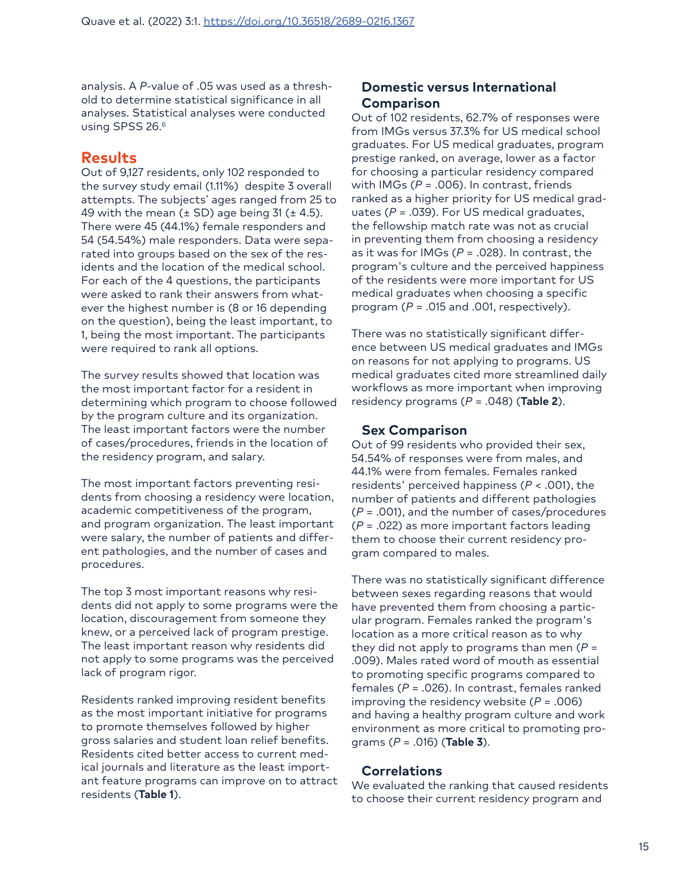analysis. A *P*-value of .05 was used as a threshold to determine statistical significance in all analyses. Statistical analyses were conducted using SPSS 26.<sup>6</sup>

# **Results**

Out of 9,127 residents, only 102 responded to the survey study email (1.11%) despite 3 overall attempts. The subjects' ages ranged from 25 to 49 with the mean  $(\pm$  SD) age being 31 ( $\pm$  4.5). There were 45 (44.1%) female responders and 54 (54.54%) male responders. Data were separated into groups based on the sex of the residents and the location of the medical school. For each of the 4 questions, the participants were asked to rank their answers from whatever the highest number is (8 or 16 depending on the question), being the least important, to 1, being the most important. The participants were required to rank all options.

The survey results showed that location was the most important factor for a resident in determining which program to choose followed by the program culture and its organization. The least important factors were the number of cases/procedures, friends in the location of the residency program, and salary.

The most important factors preventing residents from choosing a residency were location, academic competitiveness of the program, and program organization. The least important were salary, the number of patients and different pathologies, and the number of cases and procedures.

The top 3 most important reasons why residents did not apply to some programs were the location, discouragement from someone they knew, or a perceived lack of program prestige. The least important reason why residents did not apply to some programs was the perceived lack of program rigor.

Residents ranked improving resident benefits as the most important initiative for programs to promote themselves followed by higher gross salaries and student loan relief benefits. Residents cited better access to current medical journals and literature as the least important feature programs can improve on to attract residents (**Table 1**).

## **Domestic versus International Comparison**

Out of 102 residents, 62.7% of responses were from IMGs versus 37.3% for US medical school graduates. For US medical graduates, program prestige ranked, on average, lower as a factor for choosing a particular residency compared with IMGs (*P* = .006). In contrast, friends ranked as a higher priority for US medical graduates (*P* = .039). For US medical graduates, the fellowship match rate was not as crucial in preventing them from choosing a residency as it was for IMGs (*P* = .028). In contrast, the program's culture and the perceived happiness of the residents were more important for US medical graduates when choosing a specific program (*P* = .015 and .001, respectively).

There was no statistically significant difference between US medical graduates and IMGs on reasons for not applying to programs. US medical graduates cited more streamlined daily workflows as more important when improving residency programs (*P* = .048) (**Table 2**).

## **Sex Comparison**

Out of 99 residents who provided their sex, 54.54% of responses were from males, and 44.1% were from females. Females ranked residents' perceived happiness (*P* < .001), the number of patients and different pathologies (*P* = .001), and the number of cases/procedures (*P* = .022) as more important factors leading them to choose their current residency program compared to males.

There was no statistically significant difference between sexes regarding reasons that would have prevented them from choosing a particular program. Females ranked the program's location as a more critical reason as to why they did not apply to programs than men (*P* = .009). Males rated word of mouth as essential to promoting specific programs compared to females (*P* = .026). In contrast, females ranked improving the residency website (*P* = .006) and having a healthy program culture and work environment as more critical to promoting programs (*P* = .016) (**Table 3**).

## **Correlations**

We evaluated the ranking that caused residents to choose their current residency program and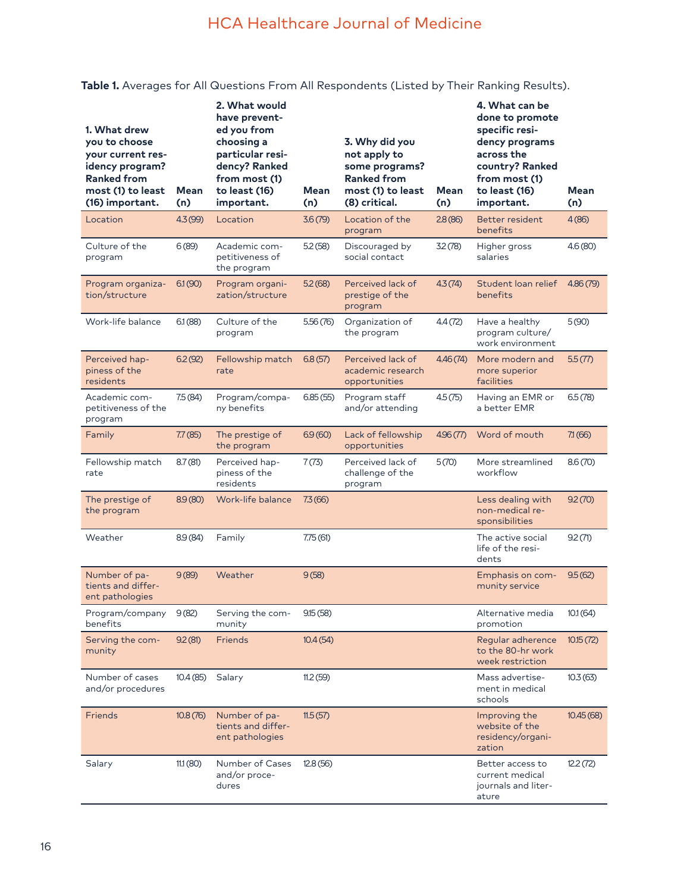# HCA Healthcare Journal of Medicine

# **Table 1.** Averages for All Questions From All Respondents (Listed by Their Ranking Results).

| 1. What drew<br>you to choose<br>your current res-<br>idency program?<br><b>Ranked from</b><br>most (1) to least<br>(16) important. | <b>Mean</b><br>(n) | 2. What would<br>have prevent-<br>ed you from<br>choosing a<br>particular resi-<br>dency? Ranked<br>from most (1)<br>to least (16)<br>important. | <b>Mean</b><br>(n) | 3. Why did you<br>not apply to<br>some programs?<br><b>Ranked from</b><br>most (1) to least<br>(8) critical. | <b>Mean</b><br>(n) | 4. What can be<br>done to promote<br>specific resi-<br>dency programs<br>across the<br>country? Ranked<br>from most (1)<br>to least (16)<br>important. | Mean<br>(n) |
|-------------------------------------------------------------------------------------------------------------------------------------|--------------------|--------------------------------------------------------------------------------------------------------------------------------------------------|--------------------|--------------------------------------------------------------------------------------------------------------|--------------------|--------------------------------------------------------------------------------------------------------------------------------------------------------|-------------|
| Location                                                                                                                            | 4.3(99)            | Location                                                                                                                                         | 3.6(79)            | Location of the<br>program                                                                                   | 2.8(86)            | Better resident<br>benefits                                                                                                                            | 4(86)       |
| Culture of the<br>program                                                                                                           | 6(89)              | Academic com-<br>petitiveness of<br>the program                                                                                                  | 5.2(58)            | Discouraged by<br>social contact                                                                             | 32(78)             | Higher gross<br>salaries                                                                                                                               | 4.6(80)     |
| Program organiza-<br>tion/structure                                                                                                 | 6.1(90)            | Program organi-<br>zation/structure                                                                                                              | 5.2(68)            | Perceived lack of<br>prestige of the<br>program                                                              | 4.3(74)            | Student loan relief<br>benefits                                                                                                                        | 4.86(79)    |
| Work-life balance                                                                                                                   | 6.1(88)            | Culture of the<br>program                                                                                                                        | 5.56(76)           | Organization of<br>the program                                                                               | 4.4(72)            | Have a healthy<br>program culture/<br>work environment                                                                                                 | 5(90)       |
| Perceived hap-<br>piness of the<br>residents                                                                                        | 6.2(92)            | Fellowship match<br>rate                                                                                                                         | 6.8(57)            | Perceived lack of<br>academic research<br>opportunities                                                      | 4.46(74)           | More modern and<br>more superior<br>facilities                                                                                                         | 5.5(77)     |
| Academic com-<br>petitiveness of the<br>program                                                                                     | 7.5(84)            | Program/compa-<br>ny benefits                                                                                                                    | 6.85(55)           | Program staff<br>and/or attending                                                                            | 4.5(75)            | Having an EMR or<br>a better EMR                                                                                                                       | 6.5(78)     |
| Family                                                                                                                              | 7.7(85)            | The prestige of<br>the program                                                                                                                   | 6.9(60)            | Lack of fellowship<br>opportunities                                                                          | 4.96(77)           | Word of mouth                                                                                                                                          | 71(66)      |
| Fellowship match<br>rate                                                                                                            | 8.7(81)            | Perceived hap-<br>piness of the<br>residents                                                                                                     | 7(73)              | Perceived lack of<br>challenge of the<br>program                                                             | 5(70)              | More streamlined<br>workflow                                                                                                                           | 8.6(70)     |
| The prestige of<br>the program                                                                                                      | 8.9(80)            | Work-life balance                                                                                                                                | 7.3(66)            |                                                                                                              |                    | Less dealing with<br>non-medical re-<br>sponsibilities                                                                                                 | 9.2(70)     |
| Weather                                                                                                                             | 8.9(84)            | Family                                                                                                                                           | 7.75(61)           |                                                                                                              |                    | The active social<br>life of the resi-<br>dents                                                                                                        | 9.2(71)     |
| Number of pa-<br>tients and differ-<br>ent pathologies                                                                              | 9(89)              | Weather                                                                                                                                          | 9(58)              |                                                                                                              |                    | Emphasis on com-<br>munity service                                                                                                                     | 9.5(62)     |
| Program/company<br>benefits                                                                                                         | 9(82)              | Serving the com-<br>munity                                                                                                                       | 9.15(58)           |                                                                                                              |                    | Alternative media<br>promotion                                                                                                                         | 10.1(64)    |
| Serving the com-<br>munity                                                                                                          | 9.2(81)            | <b>Friends</b>                                                                                                                                   | 10.4(54)           |                                                                                                              |                    | Regular adherence<br>to the 80-hr work<br>week restriction                                                                                             | 10.15(72)   |
| Number of cases<br>and/or procedures                                                                                                | 10.4(85)           | Salary                                                                                                                                           | 11.2(59)           |                                                                                                              |                    | Mass advertise-<br>ment in medical<br>schools                                                                                                          | 10.3(63)    |
| <b>Friends</b>                                                                                                                      | 10.8(76)           | Number of pa-<br>tients and differ-<br>ent pathologies                                                                                           | 11.5(57)           |                                                                                                              |                    | Improving the<br>website of the<br>residency/organi-<br>zation                                                                                         | 10.45(68)   |
| Salary                                                                                                                              | 11.1(80)           | Number of Cases<br>and/or proce-<br>dures                                                                                                        | 12.8(56)           |                                                                                                              |                    | Better access to<br>current medical<br>journals and liter-<br>ature                                                                                    | 12.2(72)    |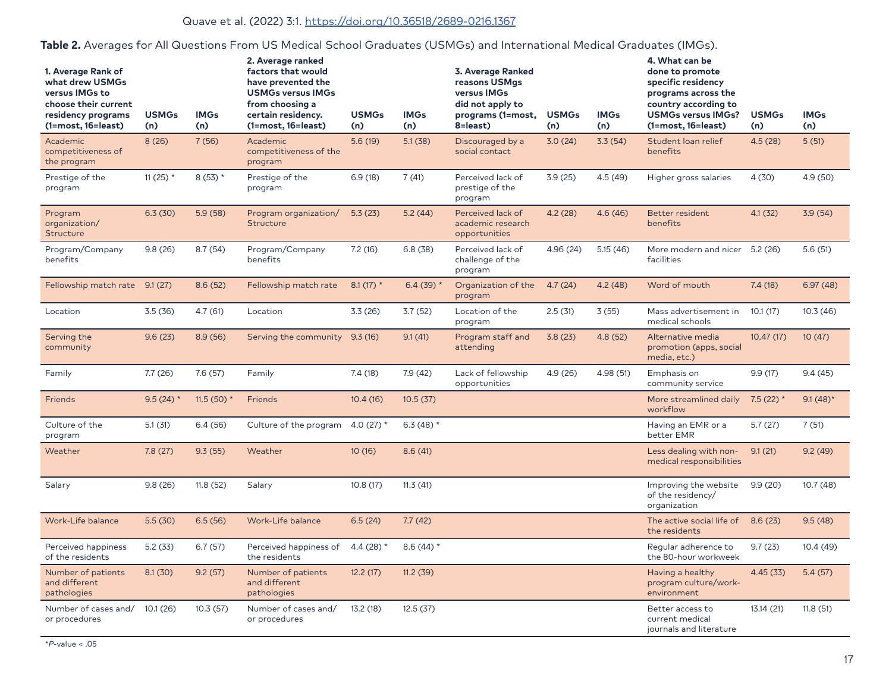### Quave et al. (2022) 3:1. [https://doi.org/10.36518/2689-0216.136](http://doi.org/10.36518/2689-0216.1367)7

| 1. Average Rank of<br>what drew USMGs<br>versus IMGs to<br>choose their current<br>residency programs<br>(1=most, 16=least) | <b>USMGs</b><br>(n) | <b>IMGs</b><br>(n) | 2. Average ranked<br>factors that would<br>have prevented the<br><b>USMGs versus IMGs</b><br>from choosing a<br>certain residency.<br>(1=most, 16=least) | <b>USMGs</b><br>(n) | <b>IMGs</b><br>(n) | 3. Average Ranked<br>reasons USMgs<br>versus IMGs<br>did not apply to<br>programs (1=most,<br>8=least) | <b>USMGs</b><br>(n) | <b>IMGs</b><br>(n) | 4. What can be<br>done to promote<br>specific residency<br>programs across the<br>country according to<br><b>USMGs versus IMGs?</b><br>(1=most, 16=least) | <b>USMGs</b><br>(n) | <b>IMGs</b><br>(n) |
|-----------------------------------------------------------------------------------------------------------------------------|---------------------|--------------------|----------------------------------------------------------------------------------------------------------------------------------------------------------|---------------------|--------------------|--------------------------------------------------------------------------------------------------------|---------------------|--------------------|-----------------------------------------------------------------------------------------------------------------------------------------------------------|---------------------|--------------------|
| Academic<br>competitiveness of<br>the program                                                                               | 8(26)               | 7(56)              | Academic<br>competitiveness of the<br>program                                                                                                            | 5.6(19)             | 5.1(38)            | Discouraged by a<br>social contact                                                                     | 3.0(24)             | 3.3(54)            | Student loan relief<br>benefits                                                                                                                           | 4.5(28)             | 5(51)              |
| Prestige of the<br>program                                                                                                  | 11 (25) $*$         | $8(53)$ *          | Prestige of the<br>program                                                                                                                               | 6.9(18)             | 7(41)              | Perceived lack of<br>prestige of the<br>program                                                        | 3.9(25)             | 4.5(49)            | Higher gross salaries                                                                                                                                     | 4(30)               | 4.9 (50)           |
| Program<br>organization/<br>Structure                                                                                       | 6.3(30)             | 5.9(58)            | Program organization/<br>Structure                                                                                                                       | 5.3(23)             | 5.2(44)            | Perceived lack of<br>academic research<br>opportunities                                                | 4.2(28)             | 4.6(46)            | <b>Better resident</b><br>benefits                                                                                                                        | 4.1(32)             | 3.9(54)            |
| Program/Company<br>benefits                                                                                                 | 9.8(26)             | 8.7(54)            | Program/Company<br>benefits                                                                                                                              | 7.2(16)             | 6.8(38)            | Perceived lack of<br>challenge of the<br>program                                                       | 4.96 (24)           | 5.15(46)           | More modern and nicer 5.2 (26)<br>facilities                                                                                                              |                     | 5.6(51)            |
| Fellowship match rate 9.1 (27)                                                                                              |                     | 8.6(52)            | Fellowship match rate                                                                                                                                    | 8.1 $(17)$ *        | 6.4 $(39)$ *       | Organization of the<br>program                                                                         | 4.7(24)             | 4.2(48)            | Word of mouth                                                                                                                                             | 7.4(18)             | 6.97(48)           |
| Location                                                                                                                    | 3.5(36)             | 4.7(61)            | Location                                                                                                                                                 | 3.3(26)             | 3.7(52)            | Location of the<br>program                                                                             | 2.5(31)             | 3(55)              | Mass advertisement in<br>medical schools                                                                                                                  | 10.1(17)            | 10.3(46)           |
| Serving the<br>community                                                                                                    | 9.6(23)             | 8.9(56)            | Serving the community                                                                                                                                    | 9.3(16)             | 9.1(41)            | Program staff and<br>attending                                                                         | 3.8(23)             | 4.8(52)            | Alternative media<br>promotion (apps, social<br>media, etc.)                                                                                              | 10.47(17)           | 10(47)             |
| Family                                                                                                                      | 7.7(26)             | 7.6(57)            | Family                                                                                                                                                   | 7.4(18)             | 7.9(42)            | Lack of fellowship<br>opportunities                                                                    | 4.9 (26)            | 4.98 (51)          | Emphasis on<br>community service                                                                                                                          | 9.9(17)             | 9.4(45)            |
| <b>Friends</b>                                                                                                              | 9.5 $(24)$ *        | 11.5 (50) $*$      | Friends                                                                                                                                                  | 10.4(16)            | 10.5(37)           |                                                                                                        |                     |                    | More streamlined daily<br>workflow                                                                                                                        | $7.5(22)$ *         | $9.1(48)$ *        |
| Culture of the<br>program                                                                                                   | 5.1(31)             | 6.4(56)            | Culture of the program                                                                                                                                   | 4.0 (27) $*$        | 6.3 (48) $*$       |                                                                                                        |                     |                    | Having an EMR or a<br>better EMR                                                                                                                          | 5.7(27)             | 7(51)              |
| Weather                                                                                                                     | 7.8(27)             | 9.3(55)            | Weather                                                                                                                                                  | 10(16)              | 8.6(41)            |                                                                                                        |                     |                    | Less dealing with non-<br>medical responsibilities                                                                                                        | 9.1(21)             | 9.2(49)            |
| Salary                                                                                                                      | 9.8(26)             | 11.8(52)           | Salary                                                                                                                                                   | 10.8(17)            | 11.3(41)           |                                                                                                        |                     |                    | Improving the website<br>of the residency/<br>organization                                                                                                | 9.9(20)             | 10.7(48)           |
| Work-Life balance                                                                                                           | 5.5(30)             | 6.5(56)            | Work-Life balance                                                                                                                                        | 6.5(24)             | 7.7(42)            |                                                                                                        |                     |                    | The active social life of<br>the residents                                                                                                                | 8.6(23)             | 9.5(48)            |
| Perceived happiness<br>of the residents                                                                                     | 5.2(33)             | 6.7(57)            | Perceived happiness of<br>the residents                                                                                                                  | 4.4 $(28)$ *        | 8.6 $(44)$ *       |                                                                                                        |                     |                    | Reqular adherence to<br>the 80-hour workweek                                                                                                              | 9.7(23)             | 10.4 (49)          |
| Number of patients<br>and different<br>pathologies                                                                          | 8.1(30)             | 9.2(57)            | Number of patients<br>and different<br>pathologies                                                                                                       | 12.2(17)            | 11.2(39)           |                                                                                                        |                     |                    | Having a healthy<br>program culture/work-<br>environment                                                                                                  | 4.45(33)            | 5.4(57)            |
| Number of cases and/<br>or procedures                                                                                       | 10.1(26)            | 10.3(57)           | Number of cases and/<br>or procedures                                                                                                                    | 13.2(18)            | 12.5(37)           |                                                                                                        |                     |                    | Better access to<br>current medical<br>journals and literature                                                                                            | 13.14 (21)          | 11.8(51)           |

# **Table 2.** Averages for All Questions From US Medical School Graduates (USMGs) and International Medical Graduates (IMGs).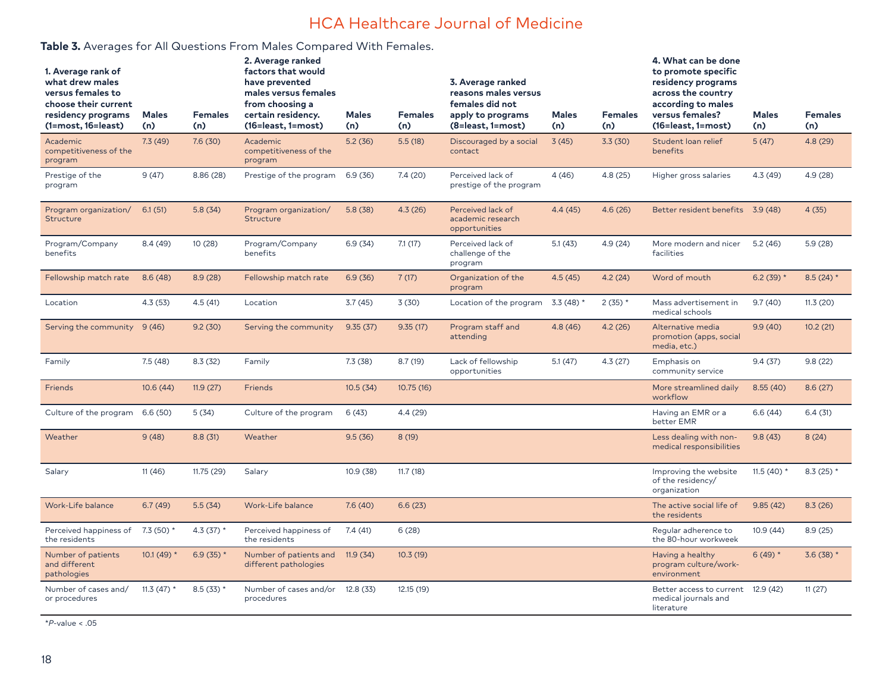# HCA Healthcare Journal of Medicine

## **Table 3.** Averages for All Questions From Males Compared With Females.

| 1. Average rank of<br>what drew males<br>versus females to<br>choose their current<br>residency programs<br>(1=most, 16=least) | <b>Males</b><br>(n) | <b>Females</b><br>(n) | 2. Average ranked<br>factors that would<br>have prevented<br>males versus females<br>from choosing a<br>certain residency.<br>(16=least, 1=most) | <b>Males</b><br>(n) | <b>Females</b><br>(n) | 3. Average ranked<br>reasons males versus<br>females did not<br>apply to programs<br>(8=least, 1=most) | <b>Males</b><br>(n) | <b>Females</b><br>(n) | 4. What can be done<br>to promote specific<br>residency programs<br>across the country<br>according to males<br>versus females?<br>(16=least, 1=most) | <b>Males</b><br>(n) | <b>Females</b><br>(n) |
|--------------------------------------------------------------------------------------------------------------------------------|---------------------|-----------------------|--------------------------------------------------------------------------------------------------------------------------------------------------|---------------------|-----------------------|--------------------------------------------------------------------------------------------------------|---------------------|-----------------------|-------------------------------------------------------------------------------------------------------------------------------------------------------|---------------------|-----------------------|
| Academic<br>competitiveness of the<br>program                                                                                  | 7.3(49)             | 7.6(30)               | Academic<br>competitiveness of the<br>program                                                                                                    | 5.2(36)             | 5.5(18)               | Discouraged by a social<br>contact                                                                     | 3(45)               | 3.3(30)               | Student loan relief<br>benefits                                                                                                                       | 5(47)               | 4.8 (29)              |
| Prestige of the<br>program                                                                                                     | 9(47)               | 8.86 (28)             | Prestige of the program                                                                                                                          | 6.9(36)             | 7.4(20)               | Perceived lack of<br>prestige of the program                                                           | 4(46)               | 4.8(25)               | Higher gross salaries                                                                                                                                 | 4.3(49)             | 4.9 (28)              |
| Program organization/<br>Structure                                                                                             | 6.1(51)             | 5.8(34)               | Program organization/<br>Structure                                                                                                               | 5.8(38)             | 4.3(26)               | Perceived lack of<br>academic research<br>opportunities                                                | 4.4(45)             | 4.6(26)               | Better resident benefits 3.9 (48)                                                                                                                     |                     | 4(35)                 |
| Program/Company<br>benefits                                                                                                    | 8.4(49)             | 10(28)                | Program/Company<br>benefits                                                                                                                      | 6.9(34)             | 7.1(17)               | Perceived lack of<br>challenge of the<br>program                                                       | 5.1(43)             | 4.9 (24)              | More modern and nicer<br>facilities                                                                                                                   | 5.2(46)             | 5.9(28)               |
| Fellowship match rate                                                                                                          | 8.6(48)             | 8.9(28)               | Fellowship match rate                                                                                                                            | 6.9(36)             | 7(17)                 | Organization of the<br>program                                                                         | 4.5(45)             | 4.2(24)               | Word of mouth                                                                                                                                         | 6.2 $(39)$ *        | 8.5 $(24)$ *          |
| Location                                                                                                                       | 4.3(53)             | 4.5(41)               | Location                                                                                                                                         | 3.7(45)             | 3(30)                 | Location of the program 3.3 (48) *                                                                     |                     | $2(35)$ *             | Mass advertisement in<br>medical schools                                                                                                              | 9.7(40)             | 11.3(20)              |
| Serving the community                                                                                                          | 9(46)               | 9.2(30)               | Serving the community                                                                                                                            | 9.35(37)            | 9.35(17)              | Program staff and<br>attending                                                                         | 4.8(46)             | 4.2(26)               | Alternative media<br>promotion (apps, social<br>media, etc.)                                                                                          | 9.9(40)             | 10.2(21)              |
| Family                                                                                                                         | 7.5(48)             | 8.3(32)               | Family                                                                                                                                           | 7.3(38)             | 8.7(19)               | Lack of fellowship<br>opportunities                                                                    | 5.1(47)             | 4.3(27)               | Emphasis on<br>community service                                                                                                                      | 9.4(37)             | 9.8(22)               |
| <b>Friends</b>                                                                                                                 | 10.6(44)            | 11.9(27)              | Friends                                                                                                                                          | 10.5(34)            | 10.75(16)             |                                                                                                        |                     |                       | More streamlined daily<br>workflow                                                                                                                    | 8.55(40)            | 8.6(27)               |
| Culture of the program                                                                                                         | 6.6(50)             | 5(34)                 | Culture of the program                                                                                                                           | 6(43)               | 4.4 (29)              |                                                                                                        |                     |                       | Having an EMR or a<br>better EMR                                                                                                                      | 6.6(44)             | 6.4(31)               |
| Weather                                                                                                                        | 9(48)               | 8.8(31)               | Weather                                                                                                                                          | 9.5(36)             | 8(19)                 |                                                                                                        |                     |                       | Less dealing with non-<br>medical responsibilities                                                                                                    | 9.8(43)             | 8(24)                 |
| Salary                                                                                                                         | 11(46)              | 11.75(29)             | Salary                                                                                                                                           | 10.9(38)            | 11.7(18)              |                                                                                                        |                     |                       | Improving the website<br>of the residency/<br>organization                                                                                            | 11.5 (40) $*$       | $8.3(25)$ *           |
| Work-Life balance                                                                                                              | 6.7(49)             | 5.5(34)               | Work-Life balance                                                                                                                                | 7.6(40)             | 6.6(23)               |                                                                                                        |                     |                       | The active social life of<br>the residents                                                                                                            | 9.85(42)            | 8.3(26)               |
| Perceived happiness of<br>the residents                                                                                        | 7.3 (50) $*$        | 4.3 $(37)$ *          | Perceived happiness of<br>the residents                                                                                                          | 7.4(41)             | 6(28)                 |                                                                                                        |                     |                       | Reqular adherence to<br>the 80-hour workweek                                                                                                          | 10.9(44)            | 8.9(25)               |
| Number of patients<br>and different<br>pathologies                                                                             | 10.1 (49) $*$       | 6.9 (35) $*$          | Number of patients and<br>different pathologies                                                                                                  | 11.9(34)            | 10.3(19)              |                                                                                                        |                     |                       | Having a healthy<br>program culture/work-<br>environment                                                                                              | $6(49)$ *           | $3.6(38)$ *           |
| Number of cases and/<br>or procedures                                                                                          | 11.3 (47) $*$       | $8.5(33)$ *           | Number of cases and/or 12.8 (33)<br>procedures                                                                                                   |                     | 12.15 (19)            |                                                                                                        |                     |                       | Better access to current 12.9 (42)<br>medical journals and<br>literature                                                                              |                     | 11(27)                |

\**P*-value < .05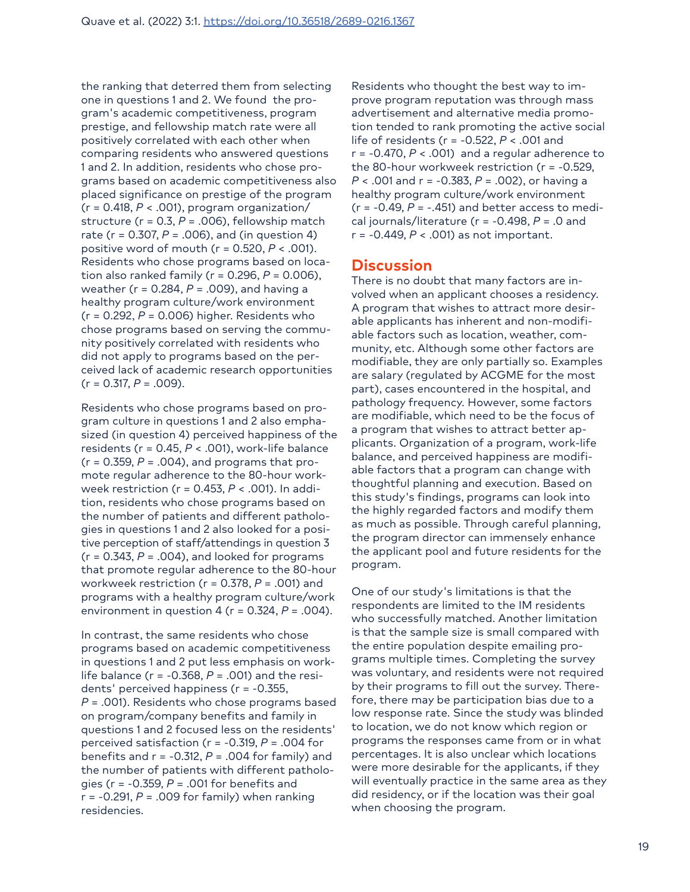the ranking that deterred them from selecting one in questions 1 and 2. We found the program's academic competitiveness, program prestige, and fellowship match rate were all positively correlated with each other when comparing residents who answered questions 1 and 2. In addition, residents who chose programs based on academic competitiveness also placed significance on prestige of the program (r = 0.418, *P* < .001), program organization/ structure (r = 0.3, *P* = .006), fellowship match rate (r = 0.307, *P* = .006), and (in question 4) positive word of mouth (r = 0.520, *P* < .001). Residents who chose programs based on location also ranked family (r = 0.296, *P* = 0.006), weather (r = 0.284, *P* = .009), and having a healthy program culture/work environment (r = 0.292, *P* = 0.006) higher. Residents who chose programs based on serving the community positively correlated with residents who did not apply to programs based on the perceived lack of academic research opportunities  $(r = 0.317, P = .009)$ .

Residents who chose programs based on program culture in questions 1 and 2 also emphasized (in question 4) perceived happiness of the residents (r = 0.45, *P* < .001), work-life balance  $(r = 0.359, P = .004)$ , and programs that promote regular adherence to the 80-hour workweek restriction (r = 0.453, *P* < .001). In addition, residents who chose programs based on the number of patients and different pathologies in questions 1 and 2 also looked for a positive perception of staff/attendings in question 3  $(r = 0.343, P = .004)$ , and looked for programs that promote regular adherence to the 80-hour workweek restriction (r = 0.378, *P* = .001) and programs with a healthy program culture/work environment in question  $4$  ( $r = 0.324$ ,  $P = .004$ ).

In contrast, the same residents who chose programs based on academic competitiveness in questions 1 and 2 put less emphasis on worklife balance (r = -0.368, *P* = .001) and the residents' perceived happiness (r = -0.355, *P* = .001). Residents who chose programs based on program/company benefits and family in questions 1 and 2 focused less on the residents' perceived satisfaction (r = -0.319, *P* = .004 for benefits and r = -0.312, *P* = .004 for family) and the number of patients with different pathologies (r = -0.359, *P* = .001 for benefits and r = -0.291, *P* = .009 for family) when ranking residencies.

Residents who thought the best way to improve program reputation was through mass advertisement and alternative media promotion tended to rank promoting the active social life of residents (r = -0.522, *P* < .001 and r = -0.470, *P* < .001) and a regular adherence to the 80-hour workweek restriction (r = -0.529, *P* < .001 and r = -0.383, *P* = .002), or having a healthy program culture/work environment  $(r = -0.49, P = -.451)$  and better access to medical journals/literature (r = -0.498, *P* = .0 and r = -0.449, *P* < .001) as not important.

### **Discussion**

There is no doubt that many factors are involved when an applicant chooses a residency. A program that wishes to attract more desirable applicants has inherent and non-modifiable factors such as location, weather, community, etc. Although some other factors are modifiable, they are only partially so. Examples are salary (regulated by ACGME for the most part), cases encountered in the hospital, and pathology frequency. However, some factors are modifiable, which need to be the focus of a program that wishes to attract better applicants. Organization of a program, work-life balance, and perceived happiness are modifiable factors that a program can change with thoughtful planning and execution. Based on this study's findings, programs can look into the highly regarded factors and modify them as much as possible. Through careful planning, the program director can immensely enhance the applicant pool and future residents for the program.

One of our study's limitations is that the respondents are limited to the IM residents who successfully matched. Another limitation is that the sample size is small compared with the entire population despite emailing programs multiple times. Completing the survey was voluntary, and residents were not required by their programs to fill out the survey. Therefore, there may be participation bias due to a low response rate. Since the study was blinded to location, we do not know which region or programs the responses came from or in what percentages. It is also unclear which locations were more desirable for the applicants, if they will eventually practice in the same area as they did residency, or if the location was their goal when choosing the program.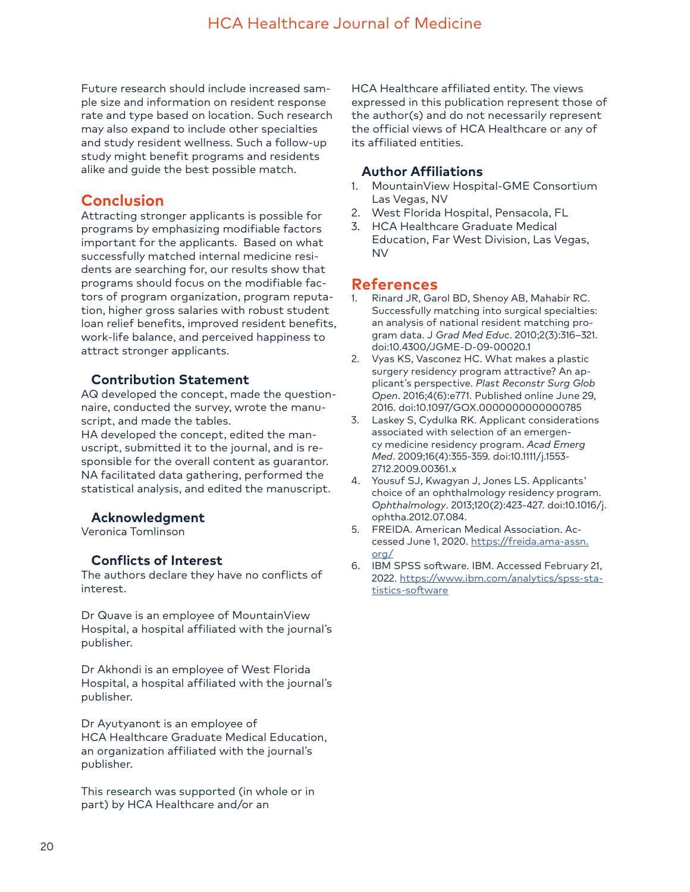Future research should include increased sample size and information on resident response rate and type based on location. Such research may also expand to include other specialties and study resident wellness. Such a follow-up study might benefit programs and residents alike and guide the best possible match.

# **Conclusion**

Attracting stronger applicants is possible for programs by emphasizing modifiable factors important for the applicants. Based on what successfully matched internal medicine residents are searching for, our results show that programs should focus on the modifiable factors of program organization, program reputation, higher gross salaries with robust student loan relief benefits, improved resident benefits, work-life balance, and perceived happiness to attract stronger applicants.

## **Contribution Statement**

AQ developed the concept, made the questionnaire, conducted the survey, wrote the manuscript, and made the tables.

HA developed the concept, edited the manuscript, submitted it to the journal, and is responsible for the overall content as guarantor. NA facilitated data gathering, performed the statistical analysis, and edited the manuscript.

### **Acknowledgment**

Veronica Tomlinson

### **Conflicts of Interest**

The authors declare they have no conflicts of interest.

Dr Quave is an employee of MountainView Hospital, a hospital affiliated with the journal's publisher.

Dr Akhondi is an employee of West Florida Hospital, a hospital affiliated with the journal's publisher.

Dr Ayutyanont is an employee of HCA Healthcare Graduate Medical Education, an organization affiliated with the journal's publisher.

This research was supported (in whole or in part) by HCA Healthcare and/or an

HCA Healthcare affiliated entity. The views expressed in this publication represent those of the author(s) and do not necessarily represent the official views of HCA Healthcare or any of its affiliated entities.

#### **Author Affiliations**

- 1. MountainView Hospital-GME Consortium Las Vegas, NV
- 2. West Florida Hospital, Pensacola, FL
- 3. HCA Healthcare Graduate Medical Education, Far West Division, Las Vegas, NV

# **References**

- Rinard JR, Garol BD, Shenoy AB, Mahabir RC. Successfully matching into surgical specialties: an analysis of national resident matching program data. J *Grad Med Educ*. 2010;2(3):316–321. doi:10.4300/JGME-D-09-00020.1
- 2. Vyas KS, Vasconez HC. What makes a plastic surgery residency program attractive? An applicant's perspective. *Plast Reconstr Surg Glob Open*. 2016;4(6):e771. Published online June 29, 2016. doi:10.1097/GOX.0000000000000785
- 3. Laskey S, Cydulka RK. Applicant considerations associated with selection of an emergency medicine residency program. *Acad Emerg Med*. 2009;16(4):355-359. doi:10.1111/j.1553- 2712.2009.00361.x
- 4. Yousuf SJ, Kwagyan J, Jones LS. Applicants' choice of an ophthalmology residency program. *Ophthalmology*. 2013;120(2):423-427. doi:10.1016/j. ophtha.2012.07.084.
- 5. FREIDA. American Medical Association. Accessed June 1, 2020. [https://freida.ama-assn.](https://freida.ama-assn.org/) [org/](https://freida.ama-assn.org/)
- 6. IBM SPSS software. IBM. Accessed February 21, 2022. [https://www.ibm.com/analytics/spss-sta](https://www.ibm.com/analytics/spss-statistics-software)[tistics-software](https://www.ibm.com/analytics/spss-statistics-software)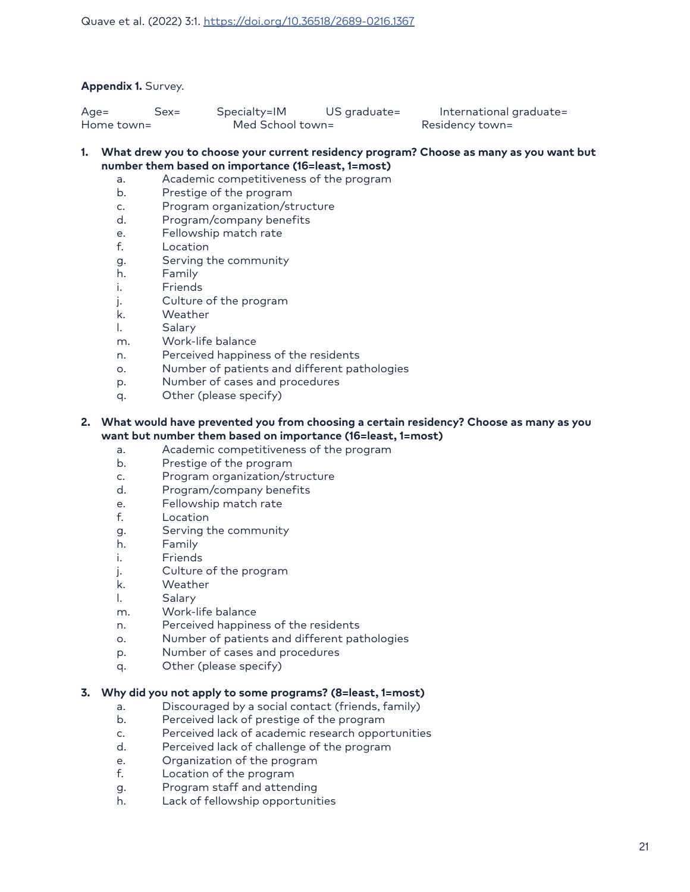#### **Appendix 1.** Survey.

| $Age =$    | Sex= | Specialty=IM     | US graduate= | International graduate= |
|------------|------|------------------|--------------|-------------------------|
| Home town= |      | Med School town= |              | Residency town=         |

#### **1. What drew you to choose your current residency program? Choose as many as you want but number them based on importance (16=least, 1=most)**

- a. Academic competitiveness of the program
	- b. Prestige of the program
- c. Program organization/structure
- d. Program/company benefits
- e. Fellowship match rate
- f. Location
- g. Serving the community
- h. Family
- i. Friends
- j. Culture of the program
- k. Weather
- l. Salary
- m. Work-life balance
- n. Perceived happiness of the residents
- o. Number of patients and different pathologies
- p. Number of cases and procedures
- q. Other (please specify)

#### **2. What would have prevented you from choosing a certain residency? Choose as many as you want but number them based on importance (16=least, 1=most)**

- a. Academic competitiveness of the program
- b. Prestige of the program
- c. Program organization/structure
- d. Program/company benefits
- e. Fellowship match rate
- f. Location
- g. Serving the community
- h. Family
- i. Friends
- j. Culture of the program
- k. Weather
- l. Salary
- m. Work-life balance
- n. Perceived happiness of the residents
- o. Number of patients and different pathologies
- p. Number of cases and procedures
- q. Other (please specify)

#### **3. Why did you not apply to some programs? (8=least, 1=most)**

- a. Discouraged by a social contact (friends, family)
- b. Perceived lack of prestige of the program
- c. Perceived lack of academic research opportunities
- d. Perceived lack of challenge of the program
- e. Organization of the program
- f. Location of the program
- g. Program staff and attending
- h. Lack of fellowship opportunities